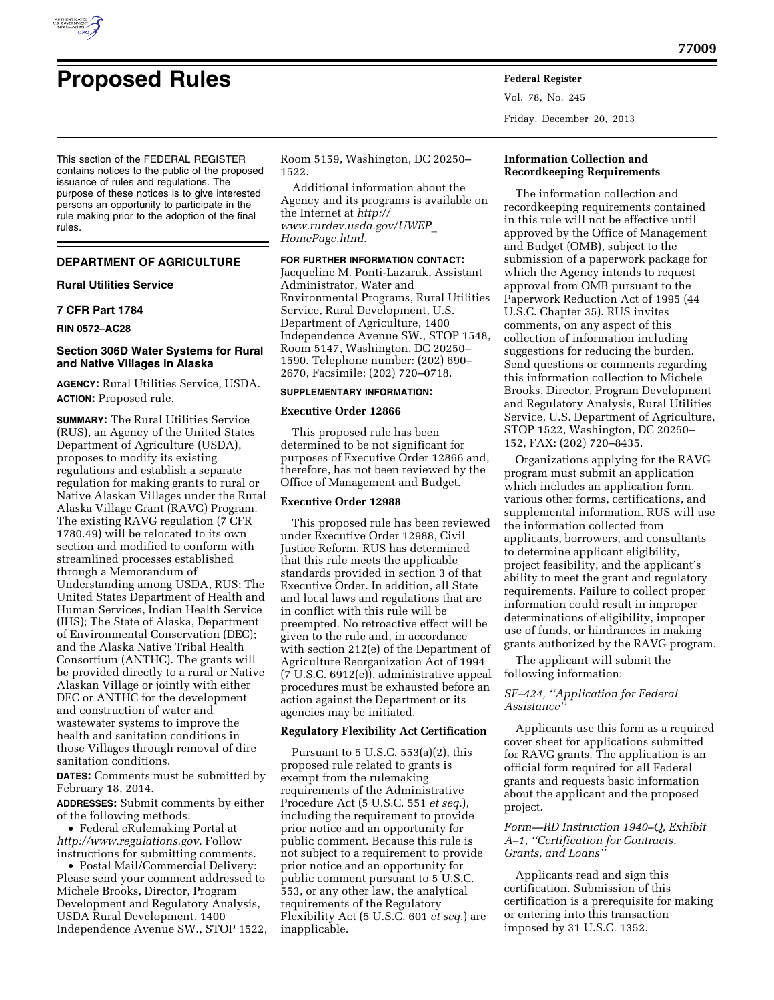

Vol. 78, No. 245 Friday, December 20, 2013

This section of the FEDERAL REGISTER contains notices to the public of the proposed issuance of rules and regulations. The purpose of these notices is to give interested persons an opportunity to participate in the rule making prior to the adoption of the final rules.

# **DEPARTMENT OF AGRICULTURE**

### **Rural Utilities Service**

# **7 CFR Part 1784**

**RIN 0572–AC28** 

# **Section 306D Water Systems for Rural and Native Villages in Alaska**

**AGENCY:** Rural Utilities Service, USDA. **ACTION:** Proposed rule.

**SUMMARY:** The Rural Utilities Service (RUS), an Agency of the United States Department of Agriculture (USDA), proposes to modify its existing regulations and establish a separate regulation for making grants to rural or Native Alaskan Villages under the Rural Alaska Village Grant (RAVG) Program. The existing RAVG regulation (7 CFR 1780.49) will be relocated to its own section and modified to conform with streamlined processes established through a Memorandum of Understanding among USDA, RUS; The United States Department of Health and Human Services, Indian Health Service (IHS); The State of Alaska, Department of Environmental Conservation (DEC); and the Alaska Native Tribal Health Consortium (ANTHC). The grants will be provided directly to a rural or Native Alaskan Village or jointly with either DEC or ANTHC for the development and construction of water and wastewater systems to improve the health and sanitation conditions in those Villages through removal of dire sanitation conditions.

**DATES:** Comments must be submitted by February 18, 2014.

**ADDRESSES:** Submit comments by either of the following methods:

• Federal eRulemaking Portal at *[http://www.regulations.gov.](http://www.regulations.gov)* Follow instructions for submitting comments.

• Postal Mail/Commercial Delivery: Please send your comment addressed to Michele Brooks, Director, Program Development and Regulatory Analysis, USDA Rural Development, 1400 Independence Avenue SW., STOP 1522, Room 5159, Washington, DC 20250– 1522.

Additional information about the Agency and its programs is available on the Internet at *[http://](http://www.rurdev.usda.gov/UWEP_HomePage.html) [www.rurdev.usda.gov/UWEP](http://www.rurdev.usda.gov/UWEP_HomePage.html)*\_ *[HomePage.html.](http://www.rurdev.usda.gov/UWEP_HomePage.html)* 

# **FOR FURTHER INFORMATION CONTACT:**

Jacqueline M. Ponti-Lazaruk, Assistant Administrator, Water and Environmental Programs, Rural Utilities Service, Rural Development, U.S. Department of Agriculture, 1400 Independence Avenue SW., STOP 1548, Room 5147, Washington, DC 20250– 1590. Telephone number: (202) 690– 2670, Facsimile: (202) 720–0718.

#### **SUPPLEMENTARY INFORMATION:**

### **Executive Order 12866**

This proposed rule has been determined to be not significant for purposes of Executive Order 12866 and, therefore, has not been reviewed by the Office of Management and Budget.

#### **Executive Order 12988**

This proposed rule has been reviewed under Executive Order 12988, Civil Justice Reform. RUS has determined that this rule meets the applicable standards provided in section 3 of that Executive Order. In addition, all State and local laws and regulations that are in conflict with this rule will be preempted. No retroactive effect will be given to the rule and, in accordance with section 212(e) of the Department of Agriculture Reorganization Act of 1994 (7 U.S.C. 6912(e)), administrative appeal procedures must be exhausted before an action against the Department or its agencies may be initiated.

# **Regulatory Flexibility Act Certification**

Pursuant to  $5 \text{ U.S.C. } 553(a)(2)$ , this proposed rule related to grants is exempt from the rulemaking requirements of the Administrative Procedure Act (5 U.S.C. 551 *et seq.*), including the requirement to provide prior notice and an opportunity for public comment. Because this rule is not subject to a requirement to provide prior notice and an opportunity for public comment pursuant to 5 U.S.C. 553, or any other law, the analytical requirements of the Regulatory Flexibility Act (5 U.S.C. 601 *et seq.*) are inapplicable.

# **Information Collection and Recordkeeping Requirements**

The information collection and recordkeeping requirements contained in this rule will not be effective until approved by the Office of Management and Budget (OMB), subject to the submission of a paperwork package for which the Agency intends to request approval from OMB pursuant to the Paperwork Reduction Act of 1995 (44 U.S.C. Chapter 35). RUS invites comments, on any aspect of this collection of information including suggestions for reducing the burden. Send questions or comments regarding this information collection to Michele Brooks, Director, Program Development and Regulatory Analysis, Rural Utilities Service, U.S. Department of Agriculture, STOP 1522, Washington, DC 20250– 152, FAX: (202) 720–8435.

Organizations applying for the RAVG program must submit an application which includes an application form, various other forms, certifications, and supplemental information. RUS will use the information collected from applicants, borrowers, and consultants to determine applicant eligibility, project feasibility, and the applicant's ability to meet the grant and regulatory requirements. Failure to collect proper information could result in improper determinations of eligibility, improper use of funds, or hindrances in making grants authorized by the RAVG program.

The applicant will submit the following information:

# *SF–424, ''Application for Federal Assistance''*

Applicants use this form as a required cover sheet for applications submitted for RAVG grants. The application is an official form required for all Federal grants and requests basic information about the applicant and the proposed project.

# *Form—RD Instruction 1940–Q, Exhibit A–1, ''Certification for Contracts, Grants, and Loans''*

Applicants read and sign this certification. Submission of this certification is a prerequisite for making or entering into this transaction imposed by 31 U.S.C. 1352.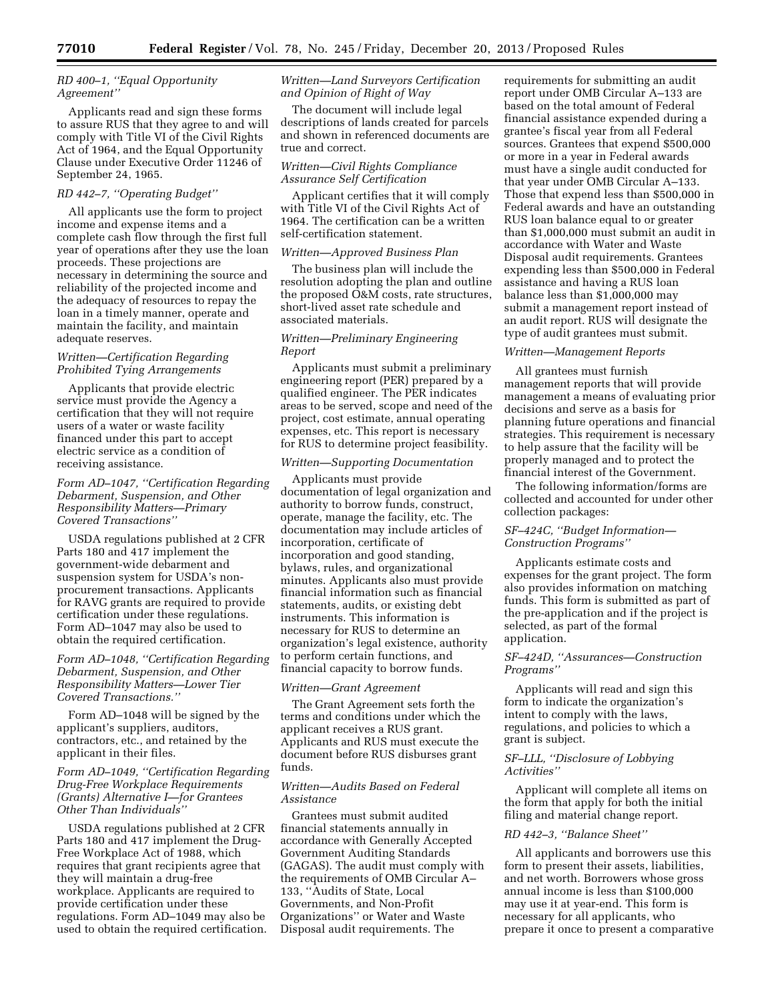# *RD 400–1, ''Equal Opportunity Agreement''*

Applicants read and sign these forms to assure RUS that they agree to and will comply with Title VI of the Civil Rights Act of 1964, and the Equal Opportunity Clause under Executive Order 11246 of September 24, 1965.

# *RD 442–7, ''Operating Budget''*

All applicants use the form to project income and expense items and a complete cash flow through the first full year of operations after they use the loan proceeds. These projections are necessary in determining the source and reliability of the projected income and the adequacy of resources to repay the loan in a timely manner, operate and maintain the facility, and maintain adequate reserves.

# *Written—Certification Regarding Prohibited Tying Arrangements*

Applicants that provide electric service must provide the Agency a certification that they will not require users of a water or waste facility financed under this part to accept electric service as a condition of receiving assistance.

# *Form AD–1047, ''Certification Regarding Debarment, Suspension, and Other Responsibility Matters—Primary Covered Transactions''*

USDA regulations published at 2 CFR Parts 180 and 417 implement the government-wide debarment and suspension system for USDA's nonprocurement transactions. Applicants for RAVG grants are required to provide certification under these regulations. Form AD–1047 may also be used to obtain the required certification.

# *Form AD–1048, ''Certification Regarding Debarment, Suspension, and Other Responsibility Matters—Lower Tier Covered Transactions.''*

Form AD–1048 will be signed by the applicant's suppliers, auditors, contractors, etc., and retained by the applicant in their files.

# *Form AD–1049, ''Certification Regarding Drug-Free Workplace Requirements (Grants) Alternative I—for Grantees Other Than Individuals''*

USDA regulations published at 2 CFR Parts 180 and 417 implement the Drug-Free Workplace Act of 1988, which requires that grant recipients agree that they will maintain a drug-free workplace. Applicants are required to provide certification under these regulations. Form AD–1049 may also be used to obtain the required certification.

# *Written—Land Surveyors Certification and Opinion of Right of Way*

The document will include legal descriptions of lands created for parcels and shown in referenced documents are true and correct.

# *Written—Civil Rights Compliance Assurance Self Certification*

Applicant certifies that it will comply with Title VI of the Civil Rights Act of 1964. The certification can be a written self-certification statement.

## *Written—Approved Business Plan*

The business plan will include the resolution adopting the plan and outline the proposed O&M costs, rate structures, short-lived asset rate schedule and associated materials.

## *Written—Preliminary Engineering Report*

Applicants must submit a preliminary engineering report (PER) prepared by a qualified engineer. The PER indicates areas to be served, scope and need of the project, cost estimate, annual operating expenses, etc. This report is necessary for RUS to determine project feasibility.

# *Written—Supporting Documentation*

Applicants must provide documentation of legal organization and authority to borrow funds, construct, operate, manage the facility, etc. The documentation may include articles of incorporation, certificate of incorporation and good standing, bylaws, rules, and organizational minutes. Applicants also must provide financial information such as financial statements, audits, or existing debt instruments. This information is necessary for RUS to determine an organization's legal existence, authority to perform certain functions, and financial capacity to borrow funds.

#### *Written—Grant Agreement*

The Grant Agreement sets forth the terms and conditions under which the applicant receives a RUS grant. Applicants and RUS must execute the document before RUS disburses grant funds.

# *Written—Audits Based on Federal Assistance*

Grantees must submit audited financial statements annually in accordance with Generally Accepted Government Auditing Standards (GAGAS). The audit must comply with the requirements of OMB Circular A– 133, ''Audits of State, Local Governments, and Non-Profit Organizations'' or Water and Waste Disposal audit requirements. The

requirements for submitting an audit report under OMB Circular A–133 are based on the total amount of Federal financial assistance expended during a grantee's fiscal year from all Federal sources. Grantees that expend \$500,000 or more in a year in Federal awards must have a single audit conducted for that year under OMB Circular A–133. Those that expend less than \$500,000 in Federal awards and have an outstanding RUS loan balance equal to or greater than \$1,000,000 must submit an audit in accordance with Water and Waste Disposal audit requirements. Grantees expending less than \$500,000 in Federal assistance and having a RUS loan balance less than \$1,000,000 may submit a management report instead of an audit report. RUS will designate the type of audit grantees must submit.

## *Written—Management Reports*

All grantees must furnish management reports that will provide management a means of evaluating prior decisions and serve as a basis for planning future operations and financial strategies. This requirement is necessary to help assure that the facility will be properly managed and to protect the financial interest of the Government.

The following information/forms are collected and accounted for under other collection packages:

# *SF–424C, ''Budget Information— Construction Programs''*

Applicants estimate costs and expenses for the grant project. The form also provides information on matching funds. This form is submitted as part of the pre-application and if the project is selected, as part of the formal application.

## *SF–424D, ''Assurances—Construction Programs''*

Applicants will read and sign this form to indicate the organization's intent to comply with the laws, regulations, and policies to which a grant is subject.

# *SF–LLL, ''Disclosure of Lobbying Activities''*

Applicant will complete all items on the form that apply for both the initial filing and material change report.

# *RD 442–3, ''Balance Sheet''*

All applicants and borrowers use this form to present their assets, liabilities, and net worth. Borrowers whose gross annual income is less than \$100,000 may use it at year-end. This form is necessary for all applicants, who prepare it once to present a comparative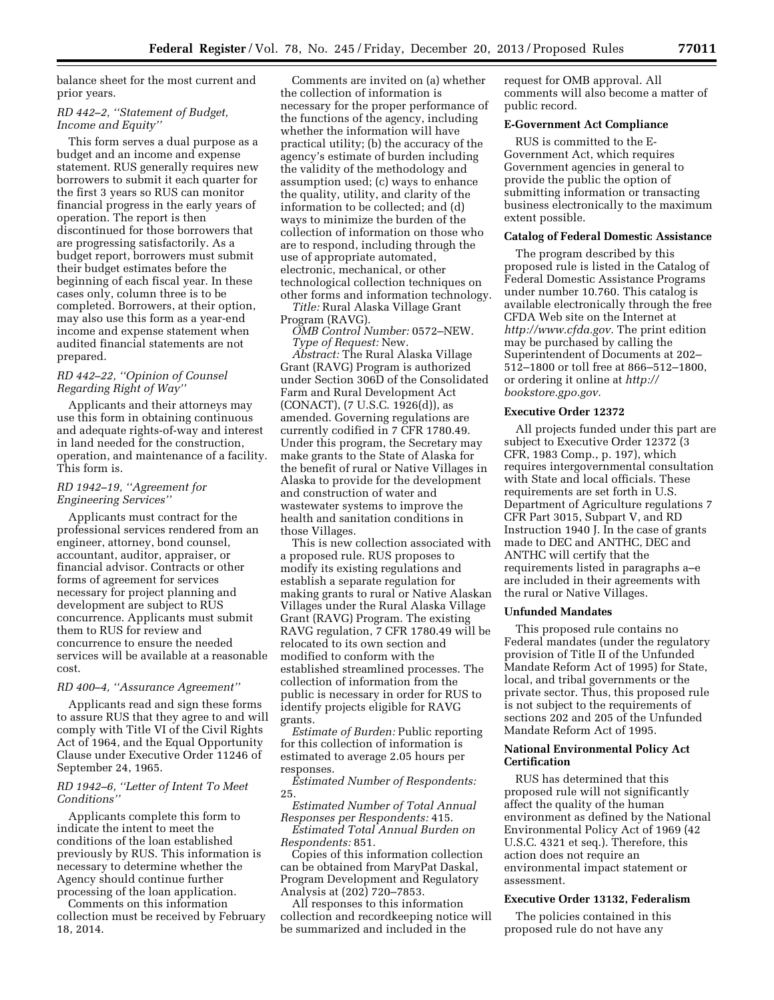balance sheet for the most current and prior years.

# *RD 442–2, ''Statement of Budget, Income and Equity''*

This form serves a dual purpose as a budget and an income and expense statement. RUS generally requires new borrowers to submit it each quarter for the first 3 years so RUS can monitor financial progress in the early years of operation. The report is then discontinued for those borrowers that are progressing satisfactorily. As a budget report, borrowers must submit their budget estimates before the beginning of each fiscal year. In these cases only, column three is to be completed. Borrowers, at their option, may also use this form as a year-end income and expense statement when audited financial statements are not prepared.

## *RD 442–22, ''Opinion of Counsel Regarding Right of Way''*

Applicants and their attorneys may use this form in obtaining continuous and adequate rights-of-way and interest in land needed for the construction, operation, and maintenance of a facility. This form is.

# *RD 1942–19, ''Agreement for Engineering Services''*

Applicants must contract for the professional services rendered from an engineer, attorney, bond counsel, accountant, auditor, appraiser, or financial advisor. Contracts or other forms of agreement for services necessary for project planning and development are subject to RUS concurrence. Applicants must submit them to RUS for review and concurrence to ensure the needed services will be available at a reasonable cost.

# *RD 400–4, ''Assurance Agreement''*

Applicants read and sign these forms to assure RUS that they agree to and will comply with Title VI of the Civil Rights Act of 1964, and the Equal Opportunity Clause under Executive Order 11246 of September 24, 1965.

## *RD 1942–6, ''Letter of Intent To Meet Conditions''*

Applicants complete this form to indicate the intent to meet the conditions of the loan established previously by RUS. This information is necessary to determine whether the Agency should continue further processing of the loan application.

Comments on this information collection must be received by February 18, 2014.

Comments are invited on (a) whether the collection of information is necessary for the proper performance of the functions of the agency, including whether the information will have practical utility; (b) the accuracy of the agency's estimate of burden including the validity of the methodology and assumption used; (c) ways to enhance the quality, utility, and clarity of the information to be collected; and (d) ways to minimize the burden of the collection of information on those who are to respond, including through the use of appropriate automated, electronic, mechanical, or other technological collection techniques on other forms and information technology.

*Title:* Rural Alaska Village Grant Program (RAVG).

*OMB Control Number:* 0572–NEW. *Type of Request:* New.

*Abstract:* The Rural Alaska Village Grant (RAVG) Program is authorized under Section 306D of the Consolidated Farm and Rural Development Act (CONACT), (7 U.S.C. 1926(d)), as amended. Governing regulations are currently codified in 7 CFR 1780.49. Under this program, the Secretary may make grants to the State of Alaska for the benefit of rural or Native Villages in Alaska to provide for the development and construction of water and wastewater systems to improve the health and sanitation conditions in those Villages.

This is new collection associated with a proposed rule. RUS proposes to modify its existing regulations and establish a separate regulation for making grants to rural or Native Alaskan Villages under the Rural Alaska Village Grant (RAVG) Program. The existing RAVG regulation, 7 CFR 1780.49 will be relocated to its own section and modified to conform with the established streamlined processes. The collection of information from the public is necessary in order for RUS to identify projects eligible for RAVG grants.

*Estimate of Burden:* Public reporting for this collection of information is estimated to average 2.05 hours per responses.

*Estimated Number of Respondents:*  25.

*Estimated Number of Total Annual Responses per Respondents:* 415.

*Estimated Total Annual Burden on Respondents:* 851.

Copies of this information collection can be obtained from MaryPat Daskal, Program Development and Regulatory Analysis at (202) 720–7853.

All responses to this information collection and recordkeeping notice will be summarized and included in the

request for OMB approval. All comments will also become a matter of public record.

## **E-Government Act Compliance**

RUS is committed to the E-Government Act, which requires Government agencies in general to provide the public the option of submitting information or transacting business electronically to the maximum extent possible.

# **Catalog of Federal Domestic Assistance**

The program described by this proposed rule is listed in the Catalog of Federal Domestic Assistance Programs under number 10.760. This catalog is available electronically through the free CFDA Web site on the Internet at *[http://www.cfda.gov.](http://www.cfda.gov)* The print edition may be purchased by calling the Superintendent of Documents at 202– 512–1800 or toll free at 866–512–1800, or ordering it online at *[http://](http://bookstore.gpo.gov) [bookstore.gpo.gov.](http://bookstore.gpo.gov)* 

#### **Executive Order 12372**

All projects funded under this part are subject to Executive Order 12372 (3 CFR, 1983 Comp., p. 197), which requires intergovernmental consultation with State and local officials. These requirements are set forth in U.S. Department of Agriculture regulations 7 CFR Part 3015, Subpart V, and RD Instruction 1940 J. In the case of grants made to DEC and ANTHC, DEC and ANTHC will certify that the requirements listed in paragraphs a–e are included in their agreements with the rural or Native Villages.

### **Unfunded Mandates**

This proposed rule contains no Federal mandates (under the regulatory provision of Title II of the Unfunded Mandate Reform Act of 1995) for State, local, and tribal governments or the private sector. Thus, this proposed rule is not subject to the requirements of sections 202 and 205 of the Unfunded Mandate Reform Act of 1995.

## **National Environmental Policy Act Certification**

RUS has determined that this proposed rule will not significantly affect the quality of the human environment as defined by the National Environmental Policy Act of 1969 (42 U.S.C. 4321 et seq.). Therefore, this action does not require an environmental impact statement or assessment.

#### **Executive Order 13132, Federalism**

The policies contained in this proposed rule do not have any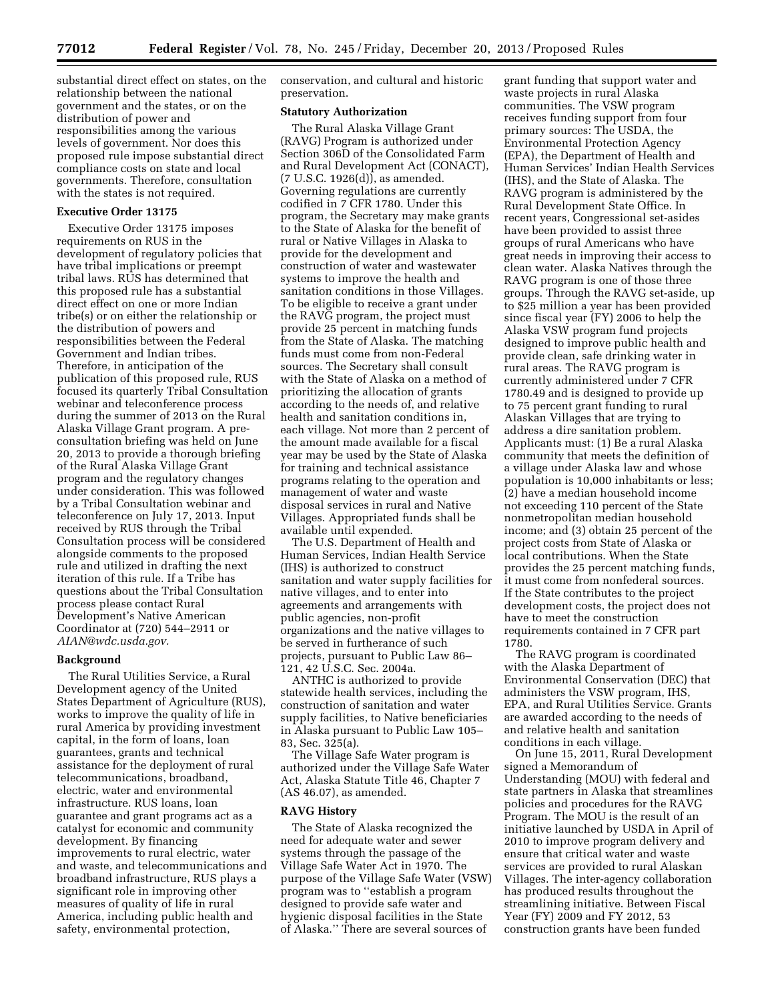substantial direct effect on states, on the relationship between the national government and the states, or on the distribution of power and responsibilities among the various levels of government. Nor does this proposed rule impose substantial direct compliance costs on state and local governments. Therefore, consultation with the states is not required.

#### **Executive Order 13175**

Executive Order 13175 imposes requirements on RUS in the development of regulatory policies that have tribal implications or preempt tribal laws. RUS has determined that this proposed rule has a substantial direct effect on one or more Indian tribe(s) or on either the relationship or the distribution of powers and responsibilities between the Federal Government and Indian tribes. Therefore, in anticipation of the publication of this proposed rule, RUS focused its quarterly Tribal Consultation webinar and teleconference process during the summer of 2013 on the Rural Alaska Village Grant program. A preconsultation briefing was held on June 20, 2013 to provide a thorough briefing of the Rural Alaska Village Grant program and the regulatory changes under consideration. This was followed by a Tribal Consultation webinar and teleconference on July 17, 2013. Input received by RUS through the Tribal Consultation process will be considered alongside comments to the proposed rule and utilized in drafting the next iteration of this rule. If a Tribe has questions about the Tribal Consultation process please contact Rural Development's Native American Coordinator at (720) 544–2911 or *[AIAN@wdc.usda.gov.](mailto:AIAN@wdc.usda.gov)* 

## **Background**

The Rural Utilities Service, a Rural Development agency of the United States Department of Agriculture (RUS), works to improve the quality of life in rural America by providing investment capital, in the form of loans, loan guarantees, grants and technical assistance for the deployment of rural telecommunications, broadband, electric, water and environmental infrastructure. RUS loans, loan guarantee and grant programs act as a catalyst for economic and community development. By financing improvements to rural electric, water and waste, and telecommunications and broadband infrastructure, RUS plays a significant role in improving other measures of quality of life in rural America, including public health and safety, environmental protection,

conservation, and cultural and historic preservation.

#### **Statutory Authorization**

The Rural Alaska Village Grant (RAVG) Program is authorized under Section 306D of the Consolidated Farm and Rural Development Act (CONACT), (7 U.S.C. 1926(d)), as amended. Governing regulations are currently codified in 7 CFR 1780. Under this program, the Secretary may make grants to the State of Alaska for the benefit of rural or Native Villages in Alaska to provide for the development and construction of water and wastewater systems to improve the health and sanitation conditions in those Villages. To be eligible to receive a grant under the RAVG program, the project must provide 25 percent in matching funds from the State of Alaska. The matching funds must come from non-Federal sources. The Secretary shall consult with the State of Alaska on a method of prioritizing the allocation of grants according to the needs of, and relative health and sanitation conditions in, each village. Not more than 2 percent of the amount made available for a fiscal year may be used by the State of Alaska for training and technical assistance programs relating to the operation and management of water and waste disposal services in rural and Native Villages. Appropriated funds shall be available until expended.

The U.S. Department of Health and Human Services, Indian Health Service (IHS) is authorized to construct sanitation and water supply facilities for native villages, and to enter into agreements and arrangements with public agencies, non-profit organizations and the native villages to be served in furtherance of such projects, pursuant to Public Law 86– 121, 42 U.S.C. Sec. 2004a.

ANTHC is authorized to provide statewide health services, including the construction of sanitation and water supply facilities, to Native beneficiaries in Alaska pursuant to Public Law 105– 83, Sec. 325(a).

The Village Safe Water program is authorized under the Village Safe Water Act, Alaska Statute Title 46, Chapter 7 (AS 46.07), as amended.

#### **RAVG History**

The State of Alaska recognized the need for adequate water and sewer systems through the passage of the Village Safe Water Act in 1970. The purpose of the Village Safe Water (VSW) program was to ''establish a program designed to provide safe water and hygienic disposal facilities in the State of Alaska.'' There are several sources of

grant funding that support water and waste projects in rural Alaska communities. The VSW program receives funding support from four primary sources: The USDA, the Environmental Protection Agency (EPA), the Department of Health and Human Services' Indian Health Services (IHS), and the State of Alaska. The RAVG program is administered by the Rural Development State Office. In recent years, Congressional set-asides have been provided to assist three groups of rural Americans who have great needs in improving their access to clean water. Alaska Natives through the RAVG program is one of those three groups. Through the RAVG set-aside, up to \$25 million a year has been provided since fiscal year (FY) 2006 to help the Alaska VSW program fund projects designed to improve public health and provide clean, safe drinking water in rural areas. The RAVG program is currently administered under 7 CFR 1780.49 and is designed to provide up to 75 percent grant funding to rural Alaskan Villages that are trying to address a dire sanitation problem. Applicants must: (1) Be a rural Alaska community that meets the definition of a village under Alaska law and whose population is 10,000 inhabitants or less; (2) have a median household income not exceeding 110 percent of the State nonmetropolitan median household income; and (3) obtain 25 percent of the project costs from State of Alaska or local contributions. When the State provides the 25 percent matching funds, it must come from nonfederal sources. If the State contributes to the project development costs, the project does not have to meet the construction requirements contained in 7 CFR part 1780.

The RAVG program is coordinated with the Alaska Department of Environmental Conservation (DEC) that administers the VSW program, IHS, EPA, and Rural Utilities Service. Grants are awarded according to the needs of and relative health and sanitation conditions in each village.

On June 15, 2011, Rural Development signed a Memorandum of Understanding (MOU) with federal and state partners in Alaska that streamlines policies and procedures for the RAVG Program. The MOU is the result of an initiative launched by USDA in April of 2010 to improve program delivery and ensure that critical water and waste services are provided to rural Alaskan Villages. The inter-agency collaboration has produced results throughout the streamlining initiative. Between Fiscal Year (FY) 2009 and FY 2012, 53 construction grants have been funded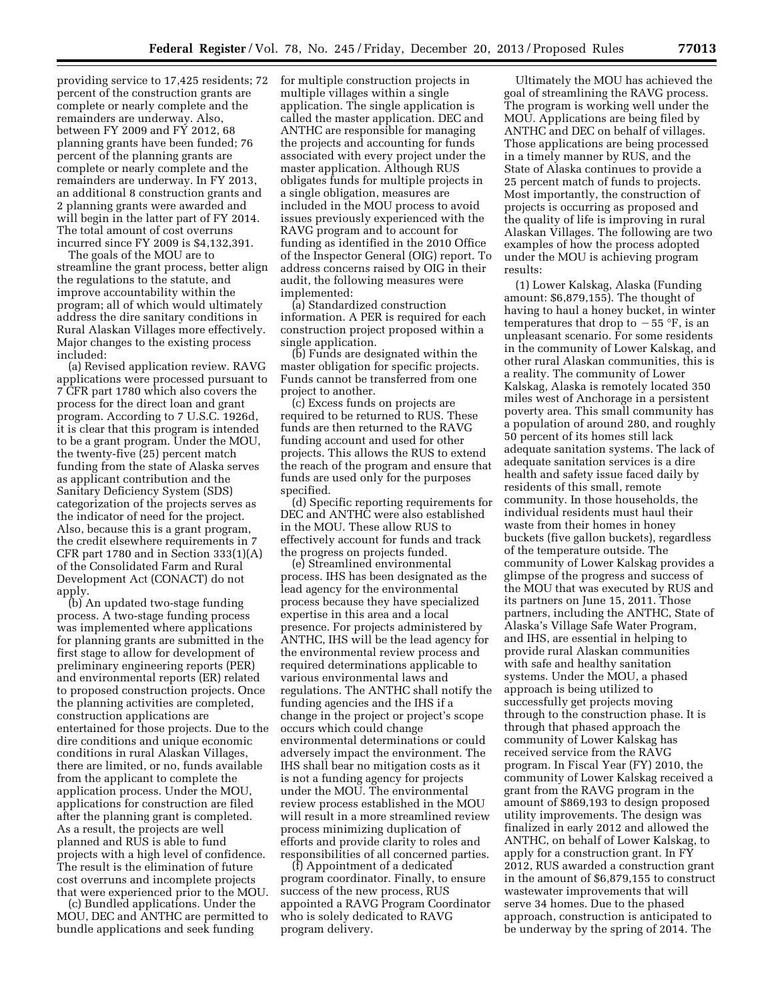providing service to 17,425 residents; 72 percent of the construction grants are complete or nearly complete and the remainders are underway. Also, between FY 2009 and FY 2012, 68 planning grants have been funded; 76 percent of the planning grants are complete or nearly complete and the remainders are underway. In FY 2013, an additional 8 construction grants and 2 planning grants were awarded and will begin in the latter part of FY 2014. The total amount of cost overruns incurred since FY 2009 is \$4,132,391.

The goals of the MOU are to streamline the grant process, better align the regulations to the statute, and improve accountability within the program; all of which would ultimately address the dire sanitary conditions in Rural Alaskan Villages more effectively. Major changes to the existing process included:

(a) Revised application review. RAVG applications were processed pursuant to 7 CFR part 1780 which also covers the process for the direct loan and grant program. According to 7 U.S.C. 1926d, it is clear that this program is intended to be a grant program. Under the MOU, the twenty-five (25) percent match funding from the state of Alaska serves as applicant contribution and the Sanitary Deficiency System (SDS) categorization of the projects serves as the indicator of need for the project. Also, because this is a grant program, the credit elsewhere requirements in 7 CFR part 1780 and in Section 333(1)(A) of the Consolidated Farm and Rural Development Act (CONACT) do not apply.

(b) An updated two-stage funding process. A two-stage funding process was implemented where applications for planning grants are submitted in the first stage to allow for development of preliminary engineering reports (PER) and environmental reports (ER) related to proposed construction projects. Once the planning activities are completed, construction applications are entertained for those projects. Due to the dire conditions and unique economic conditions in rural Alaskan Villages, there are limited, or no, funds available from the applicant to complete the application process. Under the MOU, applications for construction are filed after the planning grant is completed. As a result, the projects are well planned and RUS is able to fund projects with a high level of confidence. The result is the elimination of future cost overruns and incomplete projects that were experienced prior to the MOU.

(c) Bundled applications. Under the MOU, DEC and ANTHC are permitted to bundle applications and seek funding

for multiple construction projects in multiple villages within a single application. The single application is called the master application. DEC and ANTHC are responsible for managing the projects and accounting for funds associated with every project under the master application. Although RUS obligates funds for multiple projects in a single obligation, measures are included in the MOU process to avoid issues previously experienced with the RAVG program and to account for funding as identified in the 2010 Office of the Inspector General (OIG) report. To address concerns raised by OIG in their audit, the following measures were implemented:

(a) Standardized construction information. A PER is required for each construction project proposed within a single application.

(b) Funds are designated within the master obligation for specific projects. Funds cannot be transferred from one project to another.

(c) Excess funds on projects are required to be returned to RUS. These funds are then returned to the RAVG funding account and used for other projects. This allows the RUS to extend the reach of the program and ensure that funds are used only for the purposes specified.

(d) Specific reporting requirements for DEC and ANTHC were also established in the MOU. These allow RUS to effectively account for funds and track the progress on projects funded.

(e) Streamlined environmental process. IHS has been designated as the lead agency for the environmental process because they have specialized expertise in this area and a local presence. For projects administered by ANTHC, IHS will be the lead agency for the environmental review process and required determinations applicable to various environmental laws and regulations. The ANTHC shall notify the funding agencies and the IHS if a change in the project or project's scope occurs which could change environmental determinations or could adversely impact the environment. The IHS shall bear no mitigation costs as it is not a funding agency for projects under the MOU. The environmental review process established in the MOU will result in a more streamlined review process minimizing duplication of efforts and provide clarity to roles and responsibilities of all concerned parties.

(f) Appointment of a dedicated program coordinator. Finally, to ensure success of the new process, RUS appointed a RAVG Program Coordinator who is solely dedicated to RAVG program delivery.

Ultimately the MOU has achieved the goal of streamlining the RAVG process. The program is working well under the MOU. Applications are being filed by ANTHC and DEC on behalf of villages. Those applications are being processed in a timely manner by RUS, and the State of Alaska continues to provide a 25 percent match of funds to projects. Most importantly, the construction of projects is occurring as proposed and the quality of life is improving in rural Alaskan Villages. The following are two examples of how the process adopted under the MOU is achieving program results:

(1) Lower Kalskag, Alaska (Funding amount: \$6,879,155). The thought of having to haul a honey bucket, in winter temperatures that drop to  $-55$  °F, is an unpleasant scenario. For some residents in the community of Lower Kalskag, and other rural Alaskan communities, this is a reality. The community of Lower Kalskag, Alaska is remotely located 350 miles west of Anchorage in a persistent poverty area. This small community has a population of around 280, and roughly 50 percent of its homes still lack adequate sanitation systems. The lack of adequate sanitation services is a dire health and safety issue faced daily by residents of this small, remote community. In those households, the individual residents must haul their waste from their homes in honey buckets (five gallon buckets), regardless of the temperature outside. The community of Lower Kalskag provides a glimpse of the progress and success of the MOU that was executed by RUS and its partners on June 15, 2011. Those partners, including the ANTHC, State of Alaska's Village Safe Water Program, and IHS, are essential in helping to provide rural Alaskan communities with safe and healthy sanitation systems. Under the MOU, a phased approach is being utilized to successfully get projects moving through to the construction phase. It is through that phased approach the community of Lower Kalskag has received service from the RAVG program. In Fiscal Year (FY) 2010, the community of Lower Kalskag received a grant from the RAVG program in the amount of \$869,193 to design proposed utility improvements. The design was finalized in early 2012 and allowed the ANTHC, on behalf of Lower Kalskag, to apply for a construction grant. In FY 2012, RUS awarded a construction grant in the amount of \$6,879,155 to construct wastewater improvements that will serve 34 homes. Due to the phased approach, construction is anticipated to be underway by the spring of 2014. The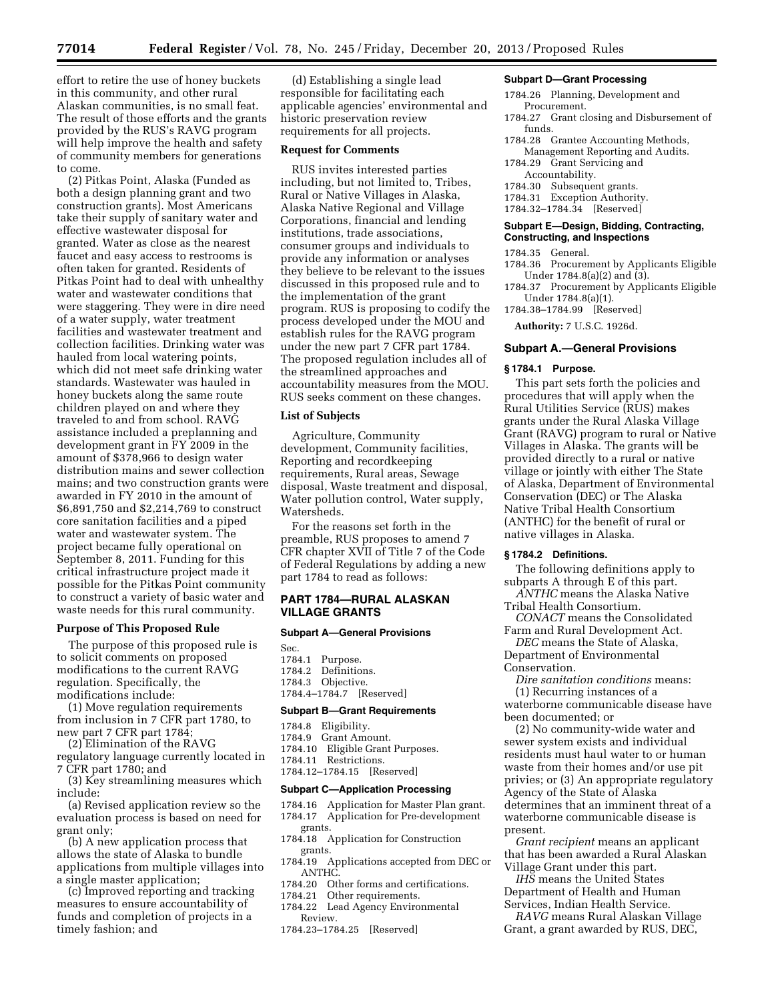**77014 Federal Register** / Vol. 78, No. 245 / Friday, December 20, 2013 / Proposed Rules

effort to retire the use of honey buckets in this community, and other rural Alaskan communities, is no small feat. The result of those efforts and the grants provided by the RUS's RAVG program will help improve the health and safety of community members for generations to come.

(2) Pitkas Point, Alaska (Funded as both a design planning grant and two construction grants). Most Americans take their supply of sanitary water and effective wastewater disposal for granted. Water as close as the nearest faucet and easy access to restrooms is often taken for granted. Residents of Pitkas Point had to deal with unhealthy water and wastewater conditions that were staggering. They were in dire need of a water supply, water treatment facilities and wastewater treatment and collection facilities. Drinking water was hauled from local watering points, which did not meet safe drinking water standards. Wastewater was hauled in honey buckets along the same route children played on and where they traveled to and from school. RAVG assistance included a preplanning and development grant in FY 2009 in the amount of \$378,966 to design water distribution mains and sewer collection mains; and two construction grants were awarded in FY 2010 in the amount of \$6,891,750 and \$2,214,769 to construct core sanitation facilities and a piped water and wastewater system. The project became fully operational on September 8, 2011. Funding for this critical infrastructure project made it possible for the Pitkas Point community to construct a variety of basic water and waste needs for this rural community.

### **Purpose of This Proposed Rule**

The purpose of this proposed rule is to solicit comments on proposed modifications to the current RAVG regulation. Specifically, the modifications include:

(1) Move regulation requirements from inclusion in 7 CFR part 1780, to new part 7 CFR part 1784;

(2) Elimination of the RAVG regulatory language currently located in 7 CFR part 1780; and

(3) Key streamlining measures which include:

(a) Revised application review so the evaluation process is based on need for grant only;

(b) A new application process that allows the state of Alaska to bundle applications from multiple villages into a single master application;

(c) Improved reporting and tracking measures to ensure accountability of funds and completion of projects in a timely fashion; and

(d) Establishing a single lead responsible for facilitating each applicable agencies' environmental and historic preservation review requirements for all projects.

### **Request for Comments**

RUS invites interested parties including, but not limited to, Tribes, Rural or Native Villages in Alaska, Alaska Native Regional and Village Corporations, financial and lending institutions, trade associations, consumer groups and individuals to provide any information or analyses they believe to be relevant to the issues discussed in this proposed rule and to the implementation of the grant program. RUS is proposing to codify the process developed under the MOU and establish rules for the RAVG program under the new part 7 CFR part 1784. The proposed regulation includes all of the streamlined approaches and accountability measures from the MOU. RUS seeks comment on these changes.

## **List of Subjects**

Agriculture, Community development, Community facilities, Reporting and recordkeeping requirements, Rural areas, Sewage disposal, Waste treatment and disposal, Water pollution control, Water supply, Watersheds.

For the reasons set forth in the preamble, RUS proposes to amend 7 CFR chapter XVII of Title 7 of the Code of Federal Regulations by adding a new part 1784 to read as follows:

## **PART 1784—RURAL ALASKAN VILLAGE GRANTS**

#### **Subpart A—General Provisions**

Sec. 1784.1 Purpose. 1784.2 Definitions.

- 1784.3 Objective.
- 1784.4–1784.7 [Reserved]

## **Subpart B—Grant Requirements**

- 1784.8 Eligibility.
- 1784.9 Grant Amount.
- 1784.10 Eligible Grant Purposes.
- 1784.11 Restrictions.
- 1784.12–1784.15 [Reserved]

## **Subpart C—Application Processing**

1784.16 Application for Master Plan grant. 1784.17 Application for Pre-development grants.

- 1784.18 Application for Construction grants.
- 1784.19 Applications accepted from DEC or ANTHC.
- 1784.20 Other forms and certifications.
- 1784.21 Other requirements.
- 1784.22 Lead Agency Environmental Review.
- 1784.23–1784.25 [Reserved]

#### **Subpart D—Grant Processing**

- 1784.26 Planning, Development and Procurement.
- 1784.27 Grant closing and Disbursement of funds.
- 1784.28 Grantee Accounting Methods,
- Management Reporting and Audits. 1784.29 Grant Servicing and
- Accountability.
- 1784.30 Subsequent grants.
- 1784.31 Exception Authority.
- 1784.32–1784.34 [Reserved]

#### **Subpart E—Design, Bidding, Contracting, Constructing, and Inspections**

1784.35 General.

- 1784.36 Procurement by Applicants Eligible Under 1784.8(a)(2) and (3).
- 1784.37 Procurement by Applicants Eligible Under 1784.8(a)(1).
- 1784.38–1784.99 [Reserved]

**Authority:** 7 U.S.C. 1926d.

#### **Subpart A.—General Provisions**

#### **§ 1784.1 Purpose.**

This part sets forth the policies and procedures that will apply when the Rural Utilities Service (RUS) makes grants under the Rural Alaska Village Grant (RAVG) program to rural or Native Villages in Alaska. The grants will be provided directly to a rural or native village or jointly with either The State of Alaska, Department of Environmental Conservation (DEC) or The Alaska Native Tribal Health Consortium (ANTHC) for the benefit of rural or native villages in Alaska.

# **§ 1784.2 Definitions.**

The following definitions apply to subparts A through E of this part.

*ANTHC* means the Alaska Native Tribal Health Consortium.

*CONACT* means the Consolidated Farm and Rural Development Act.

*DEC* means the State of Alaska, Department of Environmental

Conservation.

*Dire sanitation conditions* means: (1) Recurring instances of a

waterborne communicable disease have been documented; or

(2) No community-wide water and sewer system exists and individual residents must haul water to or human waste from their homes and/or use pit privies; or (3) An appropriate regulatory Agency of the State of Alaska determines that an imminent threat of a waterborne communicable disease is present.

*Grant recipient* means an applicant that has been awarded a Rural Alaskan Village Grant under this part.

*IHS* means the United States Department of Health and Human Services, Indian Health Service.

*RAVG* means Rural Alaskan Village Grant, a grant awarded by RUS, DEC,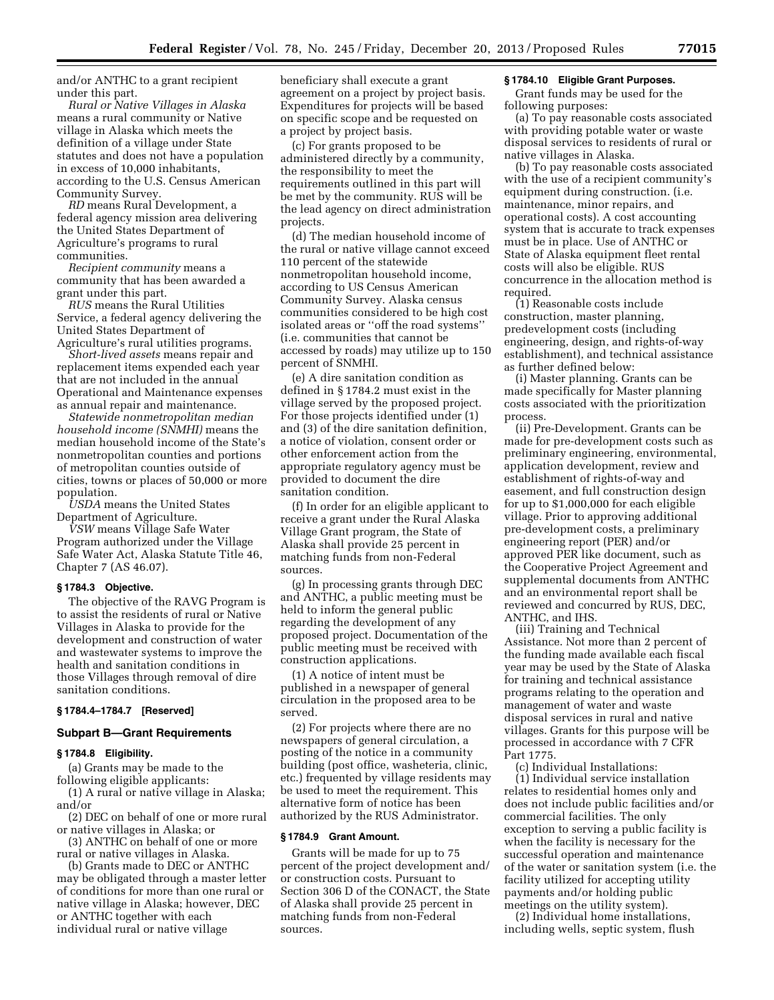and/or ANTHC to a grant recipient under this part.

*Rural or Native Villages in Alaska*  means a rural community or Native village in Alaska which meets the definition of a village under State statutes and does not have a population in excess of 10,000 inhabitants, according to the U.S. Census American Community Survey.

*RD* means Rural Development, a federal agency mission area delivering the United States Department of Agriculture's programs to rural communities.

*Recipient community* means a community that has been awarded a grant under this part.

*RUS* means the Rural Utilities Service, a federal agency delivering the United States Department of Agriculture's rural utilities programs.

*Short-lived assets* means repair and replacement items expended each year that are not included in the annual Operational and Maintenance expenses as annual repair and maintenance.

*Statewide nonmetropolitan median household income (SNMHI)* means the median household income of the State's nonmetropolitan counties and portions of metropolitan counties outside of cities, towns or places of 50,000 or more population.

*USDA* means the United States Department of Agriculture.

*VSW* means Village Safe Water Program authorized under the Village Safe Water Act, Alaska Statute Title 46, Chapter 7 (AS 46.07).

#### **§ 1784.3 Objective.**

The objective of the RAVG Program is to assist the residents of rural or Native Villages in Alaska to provide for the development and construction of water and wastewater systems to improve the health and sanitation conditions in those Villages through removal of dire sanitation conditions.

# **§ 1784.4–1784.7 [Reserved]**

## **Subpart B—Grant Requirements**

### **§ 1784.8 Eligibility.**

(a) Grants may be made to the following eligible applicants:

(1) A rural or native village in Alaska; and/or

(2) DEC on behalf of one or more rural or native villages in Alaska; or

(3) ANTHC on behalf of one or more rural or native villages in Alaska.

(b) Grants made to DEC or ANTHC may be obligated through a master letter of conditions for more than one rural or native village in Alaska; however, DEC or ANTHC together with each individual rural or native village

beneficiary shall execute a grant agreement on a project by project basis. Expenditures for projects will be based on specific scope and be requested on a project by project basis.

(c) For grants proposed to be administered directly by a community, the responsibility to meet the requirements outlined in this part will be met by the community. RUS will be the lead agency on direct administration projects.

(d) The median household income of the rural or native village cannot exceed 110 percent of the statewide nonmetropolitan household income, according to US Census American Community Survey. Alaska census communities considered to be high cost isolated areas or ''off the road systems'' (i.e. communities that cannot be accessed by roads) may utilize up to 150 percent of SNMHI.

(e) A dire sanitation condition as defined in § 1784.2 must exist in the village served by the proposed project. For those projects identified under (1) and (3) of the dire sanitation definition, a notice of violation, consent order or other enforcement action from the appropriate regulatory agency must be provided to document the dire sanitation condition.

(f) In order for an eligible applicant to receive a grant under the Rural Alaska Village Grant program, the State of Alaska shall provide 25 percent in matching funds from non-Federal sources.

(g) In processing grants through DEC and ANTHC, a public meeting must be held to inform the general public regarding the development of any proposed project. Documentation of the public meeting must be received with construction applications.

(1) A notice of intent must be published in a newspaper of general circulation in the proposed area to be served.

(2) For projects where there are no newspapers of general circulation, a posting of the notice in a community building (post office, washeteria, clinic, etc.) frequented by village residents may be used to meet the requirement. This alternative form of notice has been authorized by the RUS Administrator.

## **§ 1784.9 Grant Amount.**

Grants will be made for up to 75 percent of the project development and/ or construction costs. Pursuant to Section 306 D of the CONACT, the State of Alaska shall provide 25 percent in matching funds from non-Federal sources.

#### **§ 1784.10 Eligible Grant Purposes.**

Grant funds may be used for the following purposes:

(a) To pay reasonable costs associated with providing potable water or waste disposal services to residents of rural or native villages in Alaska.

(b) To pay reasonable costs associated with the use of a recipient community's equipment during construction. (i.e. maintenance, minor repairs, and operational costs). A cost accounting system that is accurate to track expenses must be in place. Use of ANTHC or State of Alaska equipment fleet rental costs will also be eligible. RUS concurrence in the allocation method is required.

(1) Reasonable costs include construction, master planning, predevelopment costs (including engineering, design, and rights-of-way establishment), and technical assistance as further defined below:

(i) Master planning. Grants can be made specifically for Master planning costs associated with the prioritization process.

(ii) Pre-Development. Grants can be made for pre-development costs such as preliminary engineering, environmental, application development, review and establishment of rights-of-way and easement, and full construction design for up to \$1,000,000 for each eligible village. Prior to approving additional pre-development costs, a preliminary engineering report (PER) and/or approved PER like document, such as the Cooperative Project Agreement and supplemental documents from ANTHC and an environmental report shall be reviewed and concurred by RUS, DEC, ANTHC, and IHS.

(iii) Training and Technical Assistance. Not more than 2 percent of the funding made available each fiscal year may be used by the State of Alaska for training and technical assistance programs relating to the operation and management of water and waste disposal services in rural and native villages. Grants for this purpose will be processed in accordance with 7 CFR Part 1775.

(c) Individual Installations: (1) Individual service installation relates to residential homes only and does not include public facilities and/or commercial facilities. The only exception to serving a public facility is when the facility is necessary for the successful operation and maintenance of the water or sanitation system (i.e. the facility utilized for accepting utility payments and/or holding public meetings on the utility system).

(2) Individual home installations, including wells, septic system, flush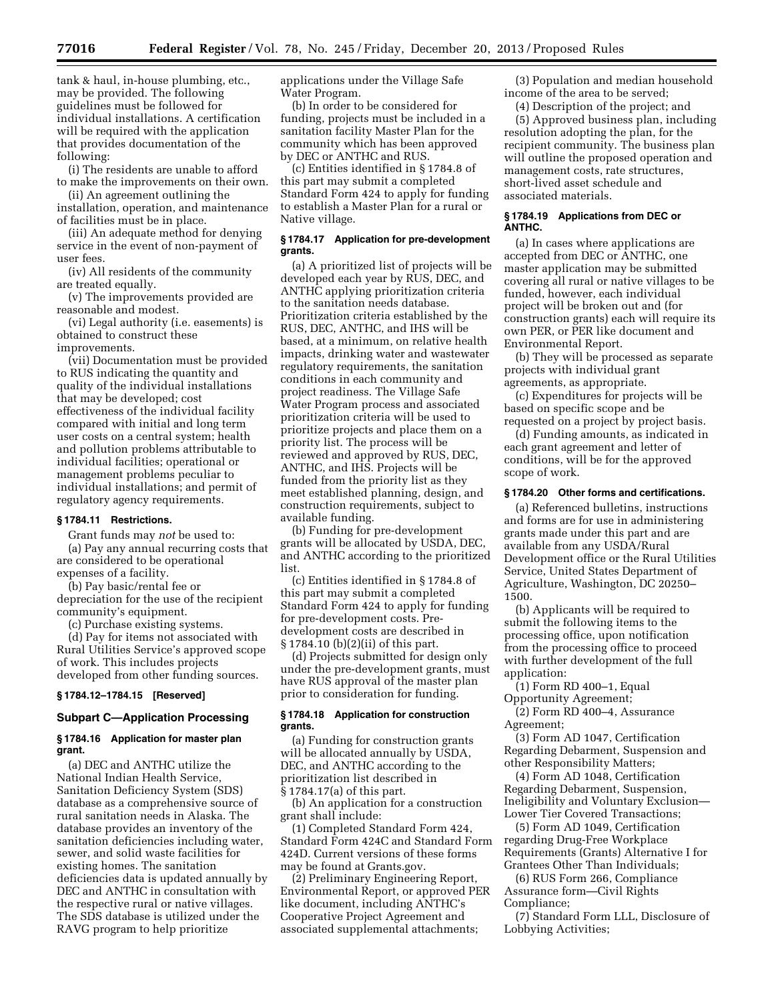tank & haul, in-house plumbing, etc., may be provided. The following guidelines must be followed for individual installations. A certification will be required with the application that provides documentation of the following:

(i) The residents are unable to afford to make the improvements on their own.

(ii) An agreement outlining the installation, operation, and maintenance of facilities must be in place.

(iii) An adequate method for denying service in the event of non-payment of user fees.

(iv) All residents of the community are treated equally.

(v) The improvements provided are reasonable and modest.

(vi) Legal authority (i.e. easements) is obtained to construct these improvements.

(vii) Documentation must be provided to RUS indicating the quantity and quality of the individual installations that may be developed; cost effectiveness of the individual facility compared with initial and long term user costs on a central system; health and pollution problems attributable to individual facilities; operational or management problems peculiar to individual installations; and permit of regulatory agency requirements.

### **§ 1784.11 Restrictions.**

Grant funds may *not* be used to:

(a) Pay any annual recurring costs that are considered to be operational expenses of a facility.

(b) Pay basic/rental fee or depreciation for the use of the recipient community's equipment.

(c) Purchase existing systems.

(d) Pay for items not associated with Rural Utilities Service's approved scope of work. This includes projects developed from other funding sources.

## **§ 1784.12–1784.15 [Reserved]**

## **Subpart C—Application Processing**

## **§ 1784.16 Application for master plan grant.**

(a) DEC and ANTHC utilize the National Indian Health Service, Sanitation Deficiency System (SDS) database as a comprehensive source of rural sanitation needs in Alaska. The database provides an inventory of the sanitation deficiencies including water, sewer, and solid waste facilities for existing homes. The sanitation deficiencies data is updated annually by DEC and ANTHC in consultation with the respective rural or native villages. The SDS database is utilized under the RAVG program to help prioritize

applications under the Village Safe Water Program.

(b) In order to be considered for funding, projects must be included in a sanitation facility Master Plan for the community which has been approved by DEC or ANTHC and RUS.

(c) Entities identified in § 1784.8 of this part may submit a completed Standard Form 424 to apply for funding to establish a Master Plan for a rural or Native village.

# **§ 1784.17 Application for pre-development grants.**

(a) A prioritized list of projects will be developed each year by RUS, DEC, and ANTHC applying prioritization criteria to the sanitation needs database. Prioritization criteria established by the RUS, DEC, ANTHC, and IHS will be based, at a minimum, on relative health impacts, drinking water and wastewater regulatory requirements, the sanitation conditions in each community and project readiness. The Village Safe Water Program process and associated prioritization criteria will be used to prioritize projects and place them on a priority list. The process will be reviewed and approved by RUS, DEC, ANTHC, and IHS. Projects will be funded from the priority list as they meet established planning, design, and construction requirements, subject to available funding.

(b) Funding for pre-development grants will be allocated by USDA, DEC, and ANTHC according to the prioritized list.

(c) Entities identified in § 1784.8 of this part may submit a completed Standard Form 424 to apply for funding for pre-development costs. Predevelopment costs are described in § 1784.10 (b)(2)(ii) of this part.

(d) Projects submitted for design only under the pre-development grants, must have RUS approval of the master plan prior to consideration for funding.

## **§ 1784.18 Application for construction grants.**

(a) Funding for construction grants will be allocated annually by USDA, DEC, and ANTHC according to the prioritization list described in § 1784.17(a) of this part.

(b) An application for a construction grant shall include:

(1) Completed Standard Form 424, Standard Form 424C and Standard Form 424D. Current versions of these forms may be found at Grants.gov.

(2) Preliminary Engineering Report, Environmental Report, or approved PER like document, including ANTHC's Cooperative Project Agreement and associated supplemental attachments;

(3) Population and median household income of the area to be served;

(4) Description of the project; and

(5) Approved business plan, including resolution adopting the plan, for the recipient community. The business plan will outline the proposed operation and management costs, rate structures, short-lived asset schedule and associated materials.

## **§ 1784.19 Applications from DEC or ANTHC.**

(a) In cases where applications are accepted from DEC or ANTHC, one master application may be submitted covering all rural or native villages to be funded, however, each individual project will be broken out and (for construction grants) each will require its own PER, or PER like document and Environmental Report.

(b) They will be processed as separate projects with individual grant agreements, as appropriate.

(c) Expenditures for projects will be based on specific scope and be requested on a project by project basis.

(d) Funding amounts, as indicated in each grant agreement and letter of conditions, will be for the approved scope of work.

## **§ 1784.20 Other forms and certifications.**

(a) Referenced bulletins, instructions and forms are for use in administering grants made under this part and are available from any USDA/Rural Development office or the Rural Utilities Service, United States Department of Agriculture, Washington, DC 20250– 1500.

(b) Applicants will be required to submit the following items to the processing office, upon notification from the processing office to proceed with further development of the full application:

(1) Form RD 400–1, Equal Opportunity Agreement;

(2) Form RD 400–4, Assurance Agreement;

(3) Form AD 1047, Certification Regarding Debarment, Suspension and other Responsibility Matters;

(4) Form AD 1048, Certification Regarding Debarment, Suspension, Ineligibility and Voluntary Exclusion— Lower Tier Covered Transactions;

(5) Form AD 1049, Certification regarding Drug-Free Workplace Requirements (Grants) Alternative I for Grantees Other Than Individuals;

(6) RUS Form 266, Compliance Assurance form—Civil Rights Compliance;

(7) Standard Form LLL, Disclosure of Lobbying Activities;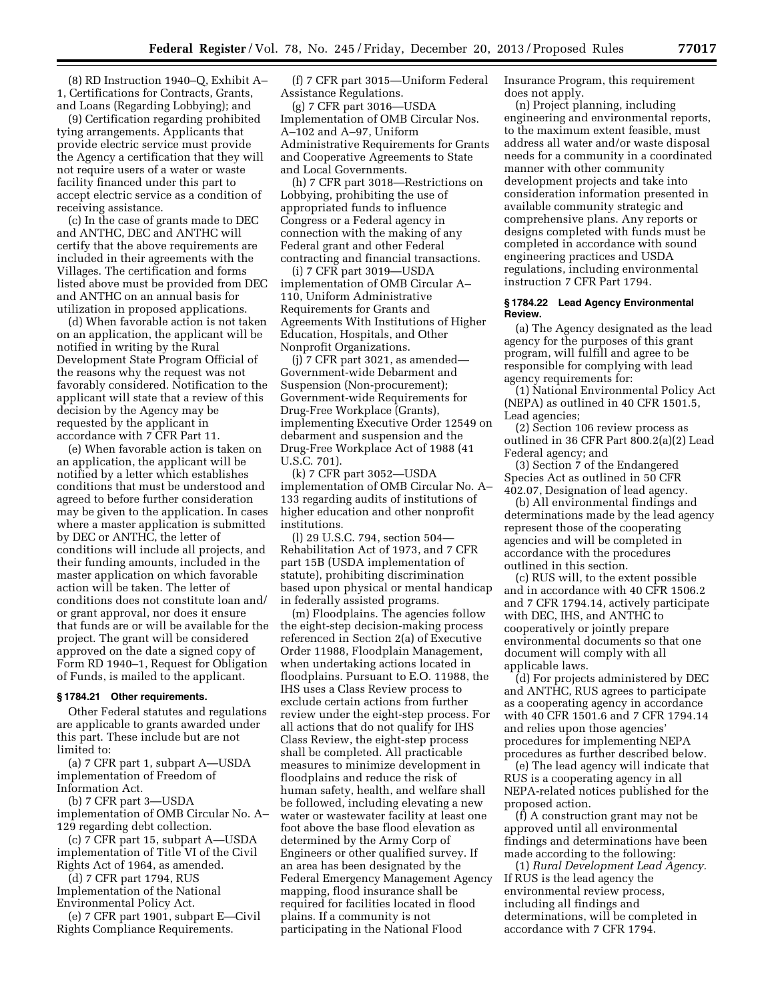(8) RD Instruction 1940–Q, Exhibit A– 1, Certifications for Contracts, Grants, and Loans (Regarding Lobbying); and

(9) Certification regarding prohibited tying arrangements. Applicants that provide electric service must provide the Agency a certification that they will not require users of a water or waste facility financed under this part to accept electric service as a condition of receiving assistance.

(c) In the case of grants made to DEC and ANTHC, DEC and ANTHC will certify that the above requirements are included in their agreements with the Villages. The certification and forms listed above must be provided from DEC and ANTHC on an annual basis for utilization in proposed applications.

(d) When favorable action is not taken on an application, the applicant will be notified in writing by the Rural Development State Program Official of the reasons why the request was not favorably considered. Notification to the applicant will state that a review of this decision by the Agency may be requested by the applicant in accordance with 7 CFR Part 11.

(e) When favorable action is taken on an application, the applicant will be notified by a letter which establishes conditions that must be understood and agreed to before further consideration may be given to the application. In cases where a master application is submitted by DEC or ANTHC, the letter of conditions will include all projects, and their funding amounts, included in the master application on which favorable action will be taken. The letter of conditions does not constitute loan and/ or grant approval, nor does it ensure that funds are or will be available for the project. The grant will be considered approved on the date a signed copy of Form RD 1940–1, Request for Obligation of Funds, is mailed to the applicant.

#### **§ 1784.21 Other requirements.**

Other Federal statutes and regulations are applicable to grants awarded under this part. These include but are not limited to:

(a) 7 CFR part 1, subpart A—USDA implementation of Freedom of Information Act.

(b) 7 CFR part 3—USDA

implementation of OMB Circular No. A– 129 regarding debt collection.

(c) 7 CFR part 15, subpart A—USDA implementation of Title VI of the Civil Rights Act of 1964, as amended.

(d) 7 CFR part 1794, RUS Implementation of the National

Environmental Policy Act. (e) 7 CFR part 1901, subpart E—Civil

Rights Compliance Requirements.

(f) 7 CFR part 3015—Uniform Federal Assistance Regulations.

(g) 7 CFR part 3016—USDA Implementation of OMB Circular Nos. A–102 and A–97, Uniform Administrative Requirements for Grants and Cooperative Agreements to State and Local Governments.

(h) 7 CFR part 3018—Restrictions on Lobbying, prohibiting the use of appropriated funds to influence Congress or a Federal agency in connection with the making of any Federal grant and other Federal contracting and financial transactions.

(i) 7 CFR part 3019—USDA implementation of OMB Circular A– 110, Uniform Administrative Requirements for Grants and Agreements With Institutions of Higher Education, Hospitals, and Other Nonprofit Organizations.

(j) 7 CFR part 3021, as amended— Government-wide Debarment and Suspension (Non-procurement); Government-wide Requirements for Drug-Free Workplace (Grants), implementing Executive Order 12549 on debarment and suspension and the Drug-Free Workplace Act of 1988 (41 U.S.C. 701).

(k) 7 CFR part 3052—USDA implementation of OMB Circular No. A– 133 regarding audits of institutions of higher education and other nonprofit institutions.

(l) 29 U.S.C. 794, section 504— Rehabilitation Act of 1973, and 7 CFR part 15B (USDA implementation of statute), prohibiting discrimination based upon physical or mental handicap in federally assisted programs.

(m) Floodplains. The agencies follow the eight-step decision-making process referenced in Section 2(a) of Executive Order 11988, Floodplain Management, when undertaking actions located in floodplains. Pursuant to E.O. 11988, the IHS uses a Class Review process to exclude certain actions from further review under the eight-step process. For all actions that do not qualify for IHS Class Review, the eight-step process shall be completed. All practicable measures to minimize development in floodplains and reduce the risk of human safety, health, and welfare shall be followed, including elevating a new water or wastewater facility at least one foot above the base flood elevation as determined by the Army Corp of Engineers or other qualified survey. If an area has been designated by the Federal Emergency Management Agency mapping, flood insurance shall be required for facilities located in flood plains. If a community is not participating in the National Flood

Insurance Program, this requirement does not apply.

(n) Project planning, including engineering and environmental reports, to the maximum extent feasible, must address all water and/or waste disposal needs for a community in a coordinated manner with other community development projects and take into consideration information presented in available community strategic and comprehensive plans. Any reports or designs completed with funds must be completed in accordance with sound engineering practices and USDA regulations, including environmental instruction 7 CFR Part 1794.

#### **§ 1784.22 Lead Agency Environmental Review.**

(a) The Agency designated as the lead agency for the purposes of this grant program, will fulfill and agree to be responsible for complying with lead agency requirements for:

(1) National Environmental Policy Act (NEPA) as outlined in 40 CFR 1501.5, Lead agencies;

(2) Section 106 review process as outlined in 36 CFR Part 800.2(a)(2) Lead Federal agency; and

(3) Section 7 of the Endangered Species Act as outlined in 50 CFR 402.07, Designation of lead agency.

(b) All environmental findings and determinations made by the lead agency represent those of the cooperating agencies and will be completed in accordance with the procedures outlined in this section.

(c) RUS will, to the extent possible and in accordance with 40 CFR 1506.2 and 7 CFR 1794.14, actively participate with DEC, IHS, and ANTHC to cooperatively or jointly prepare environmental documents so that one document will comply with all applicable laws.

(d) For projects administered by DEC and ANTHC, RUS agrees to participate as a cooperating agency in accordance with 40 CFR 1501.6 and 7 CFR 1794.14 and relies upon those agencies' procedures for implementing NEPA procedures as further described below.

(e) The lead agency will indicate that RUS is a cooperating agency in all NEPA-related notices published for the proposed action.

(f) A construction grant may not be approved until all environmental findings and determinations have been made according to the following:

(1) *Rural Development Lead Agency.*  If RUS is the lead agency the environmental review process, including all findings and determinations, will be completed in accordance with 7 CFR 1794.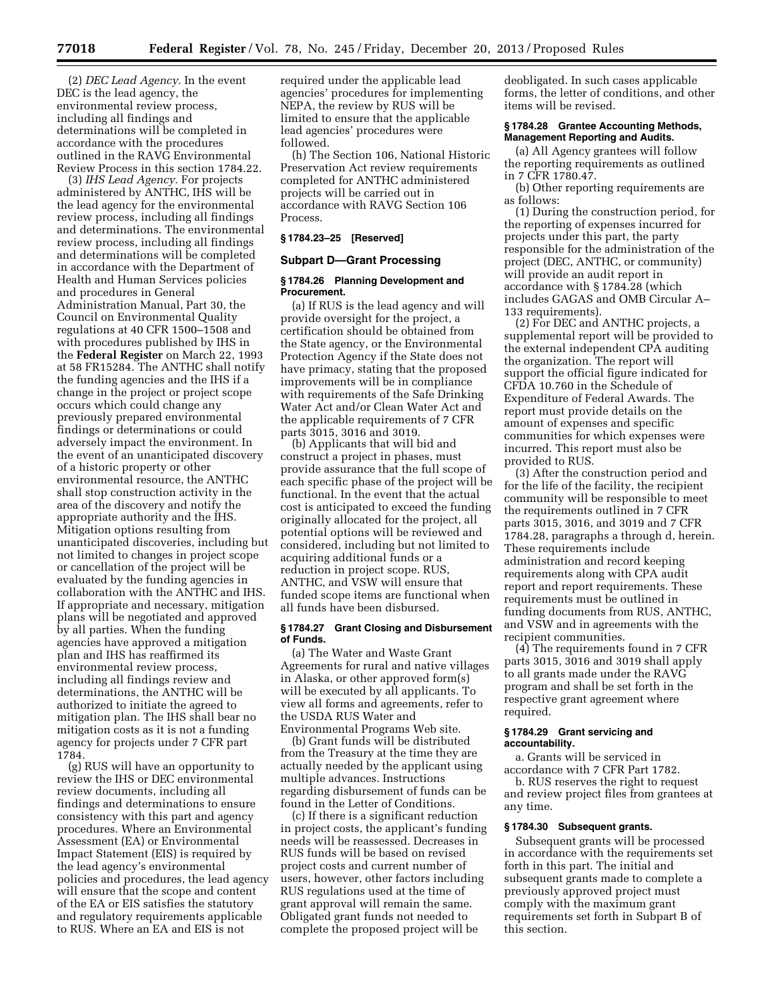(2) *DEC Lead Agency.* In the event DEC is the lead agency, the environmental review process, including all findings and determinations will be completed in accordance with the procedures outlined in the RAVG Environmental Review Process in this section 1784.22.

(3) *IHS Lead Agency.* For projects administered by ANTHC, IHS will be the lead agency for the environmental review process, including all findings and determinations. The environmental review process, including all findings and determinations will be completed in accordance with the Department of Health and Human Services policies and procedures in General Administration Manual, Part 30, the Council on Environmental Quality regulations at 40 CFR 1500–1508 and with procedures published by IHS in the **Federal Register** on March 22, 1993 at 58 FR15284. The ANTHC shall notify the funding agencies and the IHS if a change in the project or project scope occurs which could change any previously prepared environmental findings or determinations or could adversely impact the environment. In the event of an unanticipated discovery of a historic property or other environmental resource, the ANTHC shall stop construction activity in the area of the discovery and notify the appropriate authority and the IHS. Mitigation options resulting from unanticipated discoveries, including but not limited to changes in project scope or cancellation of the project will be evaluated by the funding agencies in collaboration with the ANTHC and IHS. If appropriate and necessary, mitigation plans will be negotiated and approved by all parties. When the funding agencies have approved a mitigation plan and IHS has reaffirmed its environmental review process, including all findings review and determinations, the ANTHC will be authorized to initiate the agreed to mitigation plan. The IHS shall bear no mitigation costs as it is not a funding agency for projects under 7 CFR part 1784.

(g) RUS will have an opportunity to review the IHS or DEC environmental review documents, including all findings and determinations to ensure consistency with this part and agency procedures. Where an Environmental Assessment (EA) or Environmental Impact Statement (EIS) is required by the lead agency's environmental policies and procedures, the lead agency will ensure that the scope and content of the EA or EIS satisfies the statutory and regulatory requirements applicable to RUS. Where an EA and EIS is not

required under the applicable lead agencies' procedures for implementing NEPA, the review by RUS will be limited to ensure that the applicable lead agencies' procedures were followed.

(h) The Section 106, National Historic Preservation Act review requirements completed for ANTHC administered projects will be carried out in accordance with RAVG Section 106 Process.

## **§ 1784.23–25 [Reserved]**

### **Subpart D—Grant Processing**

### **§ 1784.26 Planning Development and Procurement.**

(a) If RUS is the lead agency and will provide oversight for the project, a certification should be obtained from the State agency, or the Environmental Protection Agency if the State does not have primacy, stating that the proposed improvements will be in compliance with requirements of the Safe Drinking Water Act and/or Clean Water Act and the applicable requirements of 7 CFR parts 3015, 3016 and 3019.

(b) Applicants that will bid and construct a project in phases, must provide assurance that the full scope of each specific phase of the project will be functional. In the event that the actual cost is anticipated to exceed the funding originally allocated for the project, all potential options will be reviewed and considered, including but not limited to acquiring additional funds or a reduction in project scope. RUS, ANTHC, and VSW will ensure that funded scope items are functional when all funds have been disbursed.

#### **§ 1784.27 Grant Closing and Disbursement of Funds.**

(a) The Water and Waste Grant Agreements for rural and native villages in Alaska, or other approved form(s) will be executed by all applicants. To view all forms and agreements, refer to the USDA RUS Water and Environmental Programs Web site.

(b) Grant funds will be distributed from the Treasury at the time they are actually needed by the applicant using multiple advances. Instructions regarding disbursement of funds can be found in the Letter of Conditions.

(c) If there is a significant reduction in project costs, the applicant's funding needs will be reassessed. Decreases in RUS funds will be based on revised project costs and current number of users, however, other factors including RUS regulations used at the time of grant approval will remain the same. Obligated grant funds not needed to complete the proposed project will be

deobligated. In such cases applicable forms, the letter of conditions, and other items will be revised.

#### **§ 1784.28 Grantee Accounting Methods, Management Reporting and Audits.**

(a) All Agency grantees will follow the reporting requirements as outlined in 7 CFR 1780.47.

(b) Other reporting requirements are as follows:

(1) During the construction period, for the reporting of expenses incurred for projects under this part, the party responsible for the administration of the project (DEC, ANTHC, or community) will provide an audit report in accordance with § 1784.28 (which includes GAGAS and OMB Circular A– 133 requirements).

(2) For DEC and ANTHC projects, a supplemental report will be provided to the external independent CPA auditing the organization. The report will support the official figure indicated for CFDA 10.760 in the Schedule of Expenditure of Federal Awards. The report must provide details on the amount of expenses and specific communities for which expenses were incurred. This report must also be provided to RUS.

(3) After the construction period and for the life of the facility, the recipient community will be responsible to meet the requirements outlined in 7 CFR parts 3015, 3016, and 3019 and 7 CFR 1784.28, paragraphs a through d, herein. These requirements include administration and record keeping requirements along with CPA audit report and report requirements. These requirements must be outlined in funding documents from RUS, ANTHC, and VSW and in agreements with the recipient communities.

(4) The requirements found in 7 CFR parts 3015, 3016 and 3019 shall apply to all grants made under the RAVG program and shall be set forth in the respective grant agreement where required.

#### **§ 1784.29 Grant servicing and accountability.**

a. Grants will be serviced in accordance with 7 CFR Part 1782.

b. RUS reserves the right to request and review project files from grantees at any time.

# **§ 1784.30 Subsequent grants.**

Subsequent grants will be processed in accordance with the requirements set forth in this part. The initial and subsequent grants made to complete a previously approved project must comply with the maximum grant requirements set forth in Subpart B of this section.